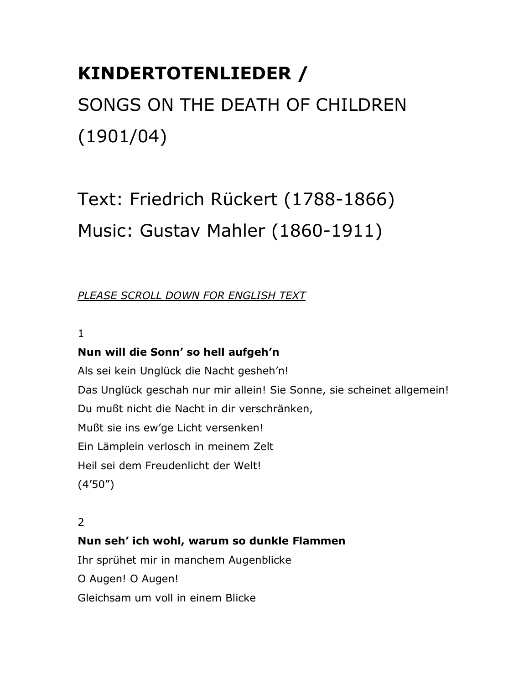# **KINDERTOTENLIEDER /**

# SONGS ON THE DEATH OF CHILDREN (1901/04)

Text: Friedrich Rückert (1788-1866) Music: Gustav Mahler (1860-1911)

# *PLEASE SCROLL DOWN FOR ENGLISH TEXT*

# 1

# **Nun will die Sonn' so hell aufgeh'n**

Als sei kein Unglück die Nacht gesheh'n! Das Unglück geschah nur mir allein! Sie Sonne, sie scheinet allgemein! Du mußt nicht die Nacht in dir verschränken, Mußt sie ins ew'ge Licht versenken! Ein Lämplein verlosch in meinem Zelt Heil sei dem Freudenlicht der Welt! (4'50")

# 2

# **Nun seh' ich wohl, warum so dunkle Flammen**

Ihr sprühet mir in manchem Augenblicke

O Augen! O Augen!

Gleichsam um voll in einem Blicke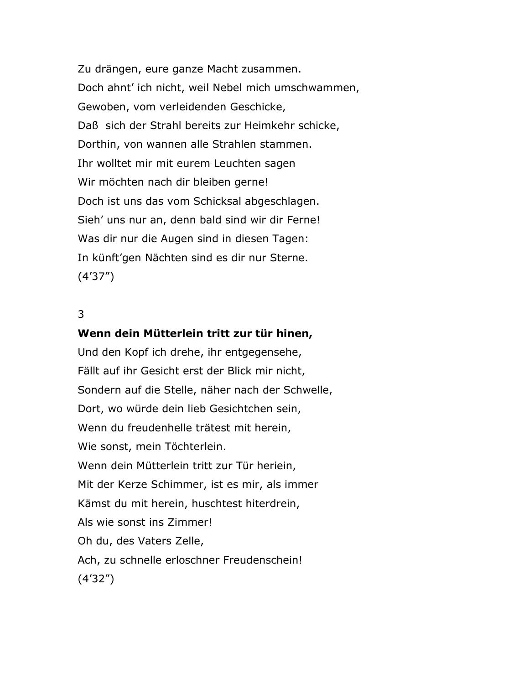Zu drängen, eure ganze Macht zusammen. Doch ahnt' ich nicht, weil Nebel mich umschwammen, Gewoben, vom verleidenden Geschicke, Daß sich der Strahl bereits zur Heimkehr schicke, Dorthin, von wannen alle Strahlen stammen. Ihr wolltet mir mit eurem Leuchten sagen Wir möchten nach dir bleiben gerne! Doch ist uns das vom Schicksal abgeschlagen. Sieh' uns nur an, denn bald sind wir dir Ferne! Was dir nur die Augen sind in diesen Tagen: In künft'gen Nächten sind es dir nur Sterne. (4'37")

# 3

#### **Wenn dein Mütterlein tritt zur tür hinen,**

Und den Kopf ich drehe, ihr entgegensehe, Fällt auf ihr Gesicht erst der Blick mir nicht, Sondern auf die Stelle, näher nach der Schwelle, Dort, wo würde dein lieb Gesichtchen sein, Wenn du freudenhelle trätest mit herein, Wie sonst, mein Töchterlein. Wenn dein Mütterlein tritt zur Tür heriein, Mit der Kerze Schimmer, ist es mir, als immer Kämst du mit herein, huschtest hiterdrein, Als wie sonst ins Zimmer! Oh du, des Vaters Zelle, Ach, zu schnelle erloschner Freudenschein! (4'32")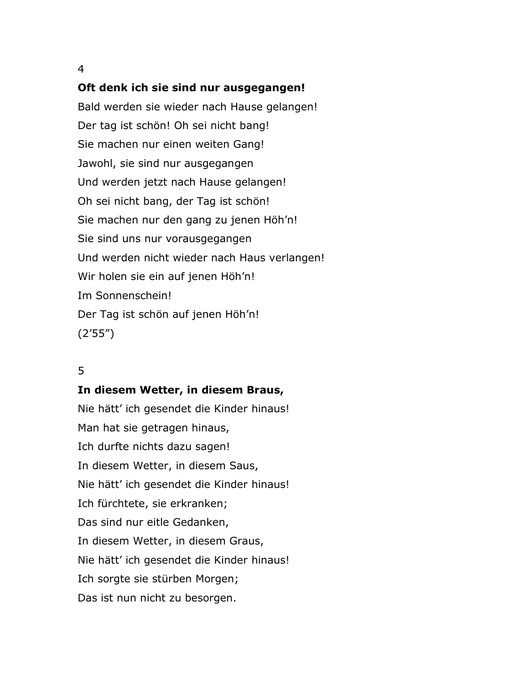#### 4

#### **Oft denk ich sie sind nur ausgegangen!**

Bald werden sie wieder nach Hause gelangen! Der tag ist schön! Oh sei nicht bang! Sie machen nur einen weiten Gang! Jawohl, sie sind nur ausgegangen Und werden jetzt nach Hause gelangen! Oh sei nicht bang, der Tag ist schön! Sie machen nur den gang zu jenen Höh'n! Sie sind uns nur vorausgegangen Und werden nicht wieder nach Haus verlangen! Wir holen sie ein auf jenen Höh'n! Im Sonnenschein! Der Tag ist schön auf jenen Höh'n! (2'55")

## 5

#### **In diesem Wetter, in diesem Braus,**

Nie hätt' ich gesendet die Kinder hinaus! Man hat sie getragen hinaus, Ich durfte nichts dazu sagen! In diesem Wetter, in diesem Saus, Nie hätt' ich gesendet die Kinder hinaus! Ich fürchtete, sie erkranken; Das sind nur eitle Gedanken, In diesem Wetter, in diesem Graus, Nie hätt' ich gesendet die Kinder hinaus! Ich sorgte sie stürben Morgen; Das ist nun nicht zu besorgen.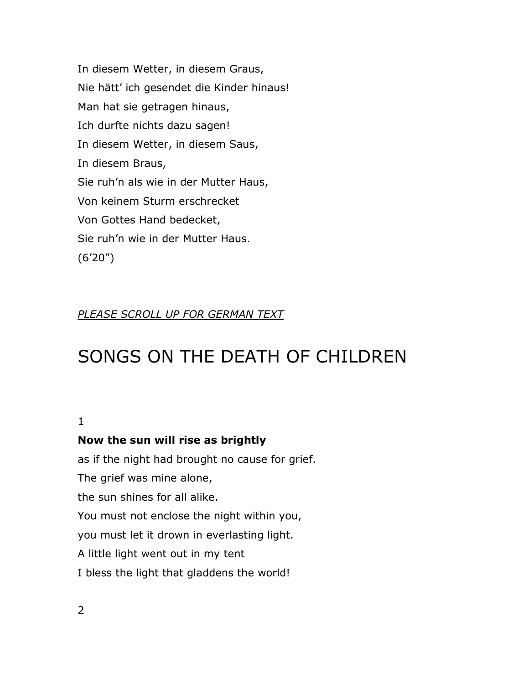In diesem Wetter, in diesem Graus, Nie hätt' ich gesendet die Kinder hinaus! Man hat sie getragen hinaus, Ich durfte nichts dazu sagen! In diesem Wetter, in diesem Saus, In diesem Braus, Sie ruh'n als wie in der Mutter Haus, Von keinem Sturm erschrecket Von Gottes Hand bedecket, Sie ruh'n wie in der Mutter Haus. (6'20")

# *PLEASE SCROLL UP FOR GERMAN TEXT*

# SONGS ON THE DEATH OF CHILDREN

#### 1

## **Now the sun will rise as brightly**

as if the night had brought no cause for grief. The grief was mine alone, the sun shines for all alike. You must not enclose the night within you, you must let it drown in everlasting light. A little light went out in my tent I bless the light that gladdens the world!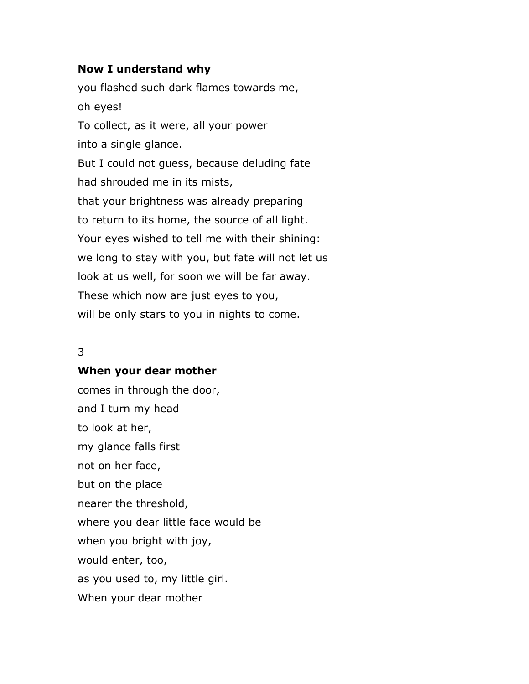#### **Now I understand why**

you flashed such dark flames towards me, oh eyes! To collect, as it were, all your power into a single glance. But I could not guess, because deluding fate had shrouded me in its mists, that your brightness was already preparing to return to its home, the source of all light. Your eyes wished to tell me with their shining: we long to stay with you, but fate will not let us look at us well, for soon we will be far away. These which now are just eyes to you, will be only stars to you in nights to come.

# 3

#### **When your dear mother**

comes in through the door, and I turn my head to look at her, my glance falls first not on her face, but on the place nearer the threshold, where you dear little face would be when you bright with joy, would enter, too, as you used to, my little girl. When your dear mother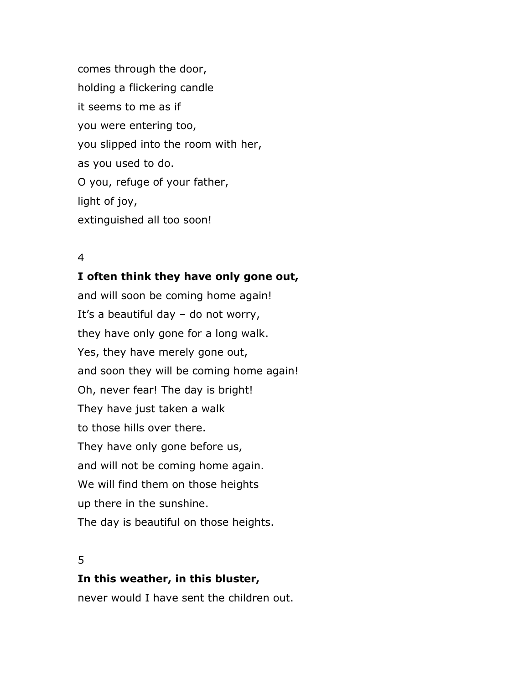comes through the door, holding a flickering candle it seems to me as if you were entering too, you slipped into the room with her, as you used to do. O you, refuge of your father, light of joy, extinguished all too soon!

# 4

## **I often think they have only gone out,**

and will soon be coming home again! It's a beautiful day – do not worry, they have only gone for a long walk. Yes, they have merely gone out, and soon they will be coming home again! Oh, never fear! The day is bright! They have just taken a walk to those hills over there. They have only gone before us, and will not be coming home again. We will find them on those heights up there in the sunshine. The day is beautiful on those heights.

## 5

## **In this weather, in this bluster,**

never would I have sent the children out.